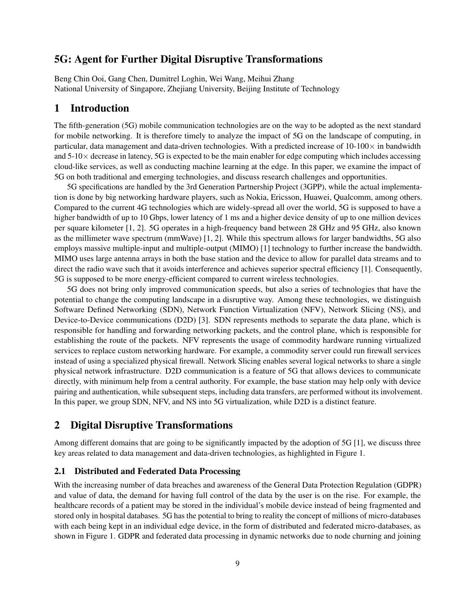# 5G: Agent for Further Digital Disruptive Transformations

Beng Chin Ooi, Gang Chen, Dumitrel Loghin, Wei Wang, Meihui Zhang National University of Singapore, Zhejiang University, Beijing Institute of Technology

## 1 Introduction

The fifth-generation (5G) mobile communication technologies are on the way to be adopted as the next standard for mobile networking. It is therefore timely to analyze the impact of 5G on the landscape of computing, in particular, data management and data-driven technologies. With a predicted increase of  $10-100\times$  in bandwidth and  $5-10\times$  decrease in latency, 5G is expected to be the main enabler for edge computing which includes accessing cloud-like services, as well as conducting machine learning at the edge. In this paper, we examine the impact of 5G on both traditional and emerging technologies, and discuss research challenges and opportunities.

5G specifications are handled by the 3rd Generation Partnership Project (3GPP), while the actual implementation is done by big networking hardware players, such as Nokia, Ericsson, Huawei, Qualcomm, among others. Compared to the current 4G technologies which are widely-spread all over the world, 5G is supposed to have a higher bandwidth of up to 10 Gbps, lower latency of 1 ms and a higher device density of up to one million devices per square kilometer [1, 2]. 5G operates in a high-frequency band between 28 GHz and 95 GHz, also known as the millimeter wave spectrum (mmWave) [1, 2]. While this spectrum allows for larger bandwidths, 5G also employs massive multiple-input and multiple-output (MIMO) [1] technology to further increase the bandwidth. MIMO uses large antenna arrays in both the base station and the device to allow for parallel data streams and to direct the radio wave such that it avoids interference and achieves superior spectral efficiency [1]. Consequently, 5G is supposed to be more energy-efficient compared to current wireless technologies.

5G does not bring only improved communication speeds, but also a series of technologies that have the potential to change the computing landscape in a disruptive way. Among these technologies, we distinguish Software Defined Networking (SDN), Network Function Virtualization (NFV), Network Slicing (NS), and Device-to-Device communications (D2D) [3]. SDN represents methods to separate the data plane, which is responsible for handling and forwarding networking packets, and the control plane, which is responsible for establishing the route of the packets. NFV represents the usage of commodity hardware running virtualized services to replace custom networking hardware. For example, a commodity server could run firewall services instead of using a specialized physical firewall. Network Slicing enables several logical networks to share a single physical network infrastructure. D2D communication is a feature of 5G that allows devices to communicate directly, with minimum help from a central authority. For example, the base station may help only with device pairing and authentication, while subsequent steps, including data transfers, are performed without its involvement. In this paper, we group SDN, NFV, and NS into 5G virtualization, while D2D is a distinct feature.

# 2 Digital Disruptive Transformations

Among different domains that are going to be significantly impacted by the adoption of 5G [1], we discuss three key areas related to data management and data-driven technologies, as highlighted in Figure 1.

### 2.1 Distributed and Federated Data Processing

With the increasing number of data breaches and awareness of the General Data Protection Regulation (GDPR) and value of data, the demand for having full control of the data by the user is on the rise. For example, the healthcare records of a patient may be stored in the individual's mobile device instead of being fragmented and stored only in hospital databases. 5G has the potential to bring to reality the concept of millions of micro-databases with each being kept in an individual edge device, in the form of distributed and federated micro-databases, as shown in Figure 1. GDPR and federated data processing in dynamic networks due to node churning and joining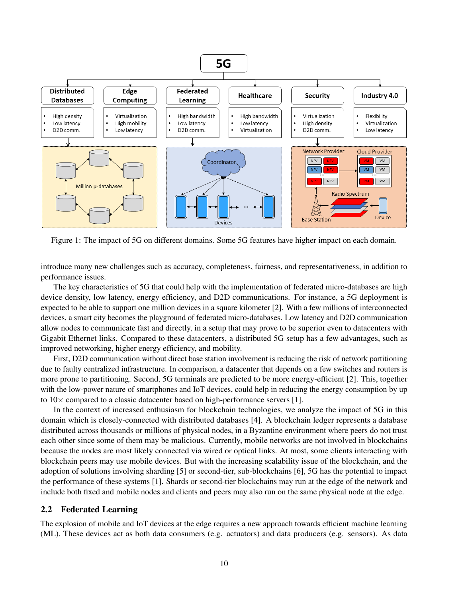

Figure 1: The impact of 5G on different domains. Some 5G features have higher impact on each domain.

introduce many new challenges such as accuracy, completeness, fairness, and representativeness, in addition to performance issues.

The key characteristics of 5G that could help with the implementation of federated micro-databases are high device density, low latency, energy efficiency, and D2D communications. For instance, a 5G deployment is expected to be able to support one million devices in a square kilometer [2]. With a few millions of interconnected devices, a smart city becomes the playground of federated micro-databases. Low latency and D2D communication allow nodes to communicate fast and directly, in a setup that may prove to be superior even to datacenters with Gigabit Ethernet links. Compared to these datacenters, a distributed 5G setup has a few advantages, such as improved networking, higher energy efficiency, and mobility.

First, D2D communication without direct base station involvement is reducing the risk of network partitioning due to faulty centralized infrastructure. In comparison, a datacenter that depends on a few switches and routers is more prone to partitioning. Second, 5G terminals are predicted to be more energy-efficient [2]. This, together with the low-power nature of smartphones and IoT devices, could help in reducing the energy consumption by up to  $10\times$  compared to a classic datacenter based on high-performance servers [1].

In the context of increased enthusiasm for blockchain technologies, we analyze the impact of 5G in this domain which is closely-connected with distributed databases [4]. A blockchain ledger represents a database distributed across thousands or millions of physical nodes, in a Byzantine environment where peers do not trust each other since some of them may be malicious. Currently, mobile networks are not involved in blockchains because the nodes are most likely connected via wired or optical links. At most, some clients interacting with blockchain peers may use mobile devices. But with the increasing scalability issue of the blockchain, and the adoption of solutions involving sharding [5] or second-tier, sub-blockchains [6], 5G has the potential to impact the performance of these systems [1]. Shards or second-tier blockchains may run at the edge of the network and include both fixed and mobile nodes and clients and peers may also run on the same physical node at the edge.

#### 2.2 Federated Learning

The explosion of mobile and IoT devices at the edge requires a new approach towards efficient machine learning (ML). These devices act as both data consumers (e.g. actuators) and data producers (e.g. sensors). As data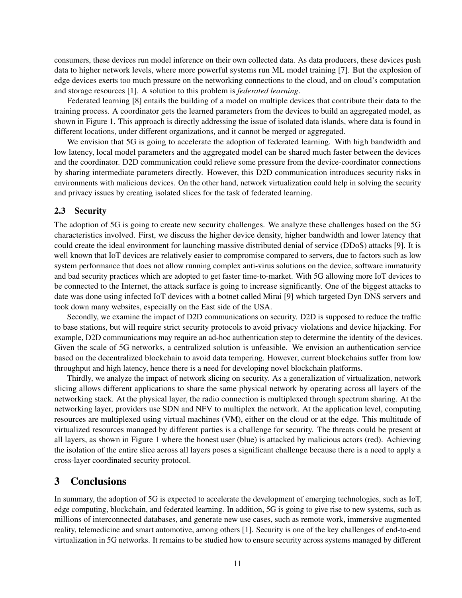consumers, these devices run model inference on their own collected data. As data producers, these devices push data to higher network levels, where more powerful systems run ML model training [7]. But the explosion of edge devices exerts too much pressure on the networking connections to the cloud, and on cloud's computation and storage resources [1]. A solution to this problem is *federated learning*.

Federated learning [8] entails the building of a model on multiple devices that contribute their data to the training process. A coordinator gets the learned parameters from the devices to build an aggregated model, as shown in Figure 1. This approach is directly addressing the issue of isolated data islands, where data is found in different locations, under different organizations, and it cannot be merged or aggregated.

We envision that 5G is going to accelerate the adoption of federated learning. With high bandwidth and low latency, local model parameters and the aggregated model can be shared much faster between the devices and the coordinator. D2D communication could relieve some pressure from the device-coordinator connections by sharing intermediate parameters directly. However, this D2D communication introduces security risks in environments with malicious devices. On the other hand, network virtualization could help in solving the security and privacy issues by creating isolated slices for the task of federated learning.

### 2.3 Security

The adoption of 5G is going to create new security challenges. We analyze these challenges based on the 5G characteristics involved. First, we discuss the higher device density, higher bandwidth and lower latency that could create the ideal environment for launching massive distributed denial of service (DDoS) attacks [9]. It is well known that IoT devices are relatively easier to compromise compared to servers, due to factors such as low system performance that does not allow running complex anti-virus solutions on the device, software immaturity and bad security practices which are adopted to get faster time-to-market. With 5G allowing more IoT devices to be connected to the Internet, the attack surface is going to increase significantly. One of the biggest attacks to date was done using infected IoT devices with a botnet called Mirai [9] which targeted Dyn DNS servers and took down many websites, especially on the East side of the USA.

Secondly, we examine the impact of D2D communications on security. D2D is supposed to reduce the traffic to base stations, but will require strict security protocols to avoid privacy violations and device hijacking. For example, D2D communications may require an ad-hoc authentication step to determine the identity of the devices. Given the scale of 5G networks, a centralized solution is unfeasible. We envision an authentication service based on the decentralized blockchain to avoid data tempering. However, current blockchains suffer from low throughput and high latency, hence there is a need for developing novel blockchain platforms.

Thirdly, we analyze the impact of network slicing on security. As a generalization of virtualization, network slicing allows different applications to share the same physical network by operating across all layers of the networking stack. At the physical layer, the radio connection is multiplexed through spectrum sharing. At the networking layer, providers use SDN and NFV to multiplex the network. At the application level, computing resources are multiplexed using virtual machines (VM), either on the cloud or at the edge. This multitude of virtualized resources managed by different parties is a challenge for security. The threats could be present at all layers, as shown in Figure 1 where the honest user (blue) is attacked by malicious actors (red). Achieving the isolation of the entire slice across all layers poses a significant challenge because there is a need to apply a cross-layer coordinated security protocol.

## 3 Conclusions

In summary, the adoption of 5G is expected to accelerate the development of emerging technologies, such as IoT, edge computing, blockchain, and federated learning. In addition, 5G is going to give rise to new systems, such as millions of interconnected databases, and generate new use cases, such as remote work, immersive augmented reality, telemedicine and smart automotive, among others [1]. Security is one of the key challenges of end-to-end virtualization in 5G networks. It remains to be studied how to ensure security across systems managed by different